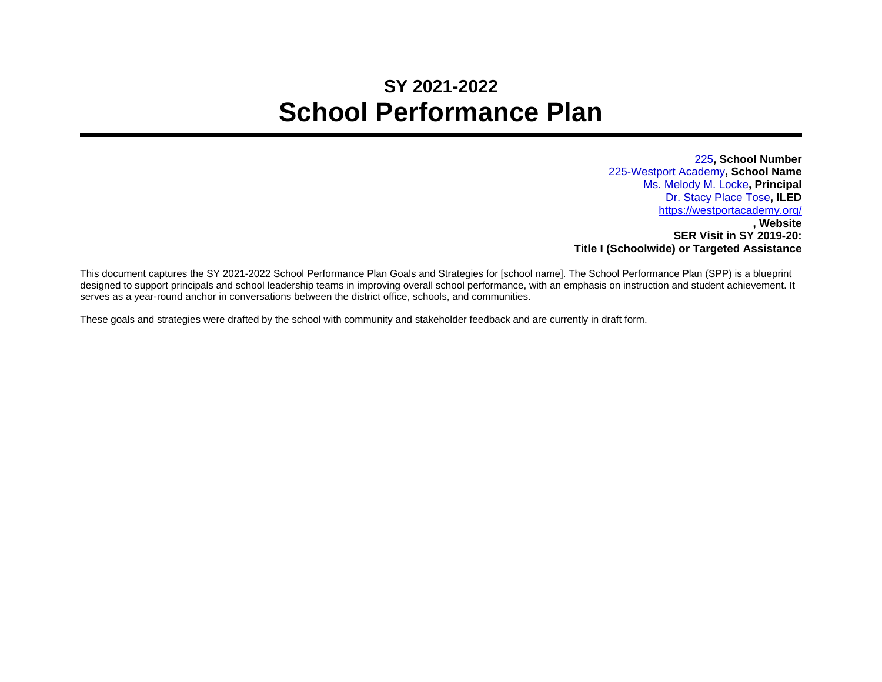## **SY 2021-2022 School Performance Plan**

225**, School Number** 225-Westport Academy**, School Name** Ms. Melody M. Locke**, Principal** Dr. Stacy Place Tose**, ILED** <https://westportacademy.org/> **, Website SER Visit in SY 2019-20: Title I (Schoolwide) or Targeted Assistance**

This document captures the SY 2021-2022 School Performance Plan Goals and Strategies for [school name]. The School Performance Plan (SPP) is a blueprint designed to support principals and school leadership teams in improving overall school performance, with an emphasis on instruction and student achievement. It serves as a year-round anchor in conversations between the district office, schools, and communities.

These goals and strategies were drafted by the school with community and stakeholder feedback and are currently in draft form.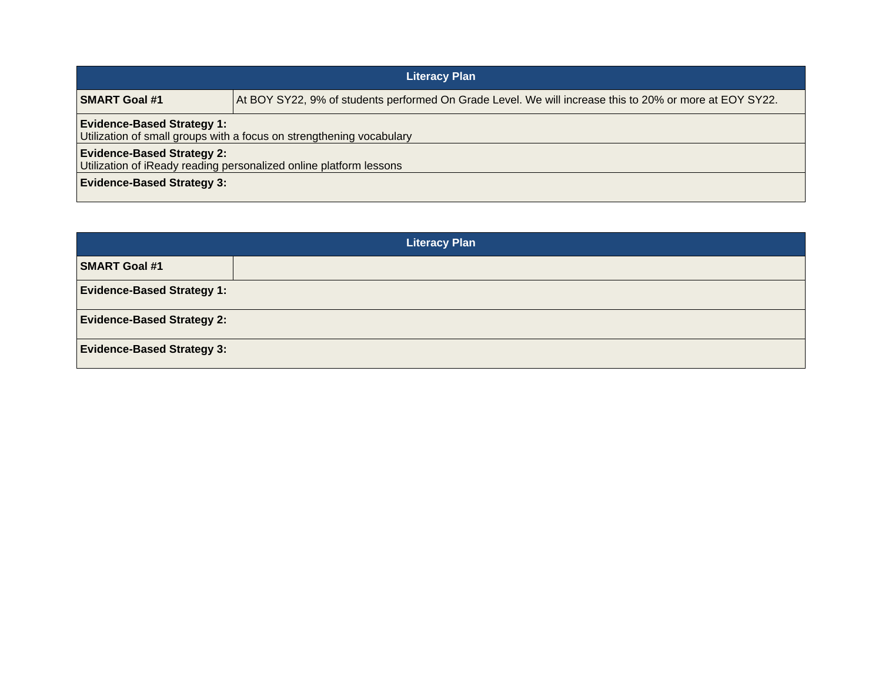| <b>Literacy Plan</b>                                                                                      |                                                                                                         |  |
|-----------------------------------------------------------------------------------------------------------|---------------------------------------------------------------------------------------------------------|--|
| <b>SMART Goal #1</b>                                                                                      | At BOY SY22, 9% of students performed On Grade Level. We will increase this to 20% or more at EOY SY22. |  |
| <b>Evidence-Based Strategy 1:</b><br>Utilization of small groups with a focus on strengthening vocabulary |                                                                                                         |  |
| <b>Evidence-Based Strategy 2:</b><br>Utilization of iReady reading personalized online platform lessons   |                                                                                                         |  |
| <b>Evidence-Based Strategy 3:</b>                                                                         |                                                                                                         |  |

| <b>Literacy Plan</b>              |  |  |
|-----------------------------------|--|--|
| <b>SMART Goal #1</b>              |  |  |
| <b>Evidence-Based Strategy 1:</b> |  |  |
| <b>Evidence-Based Strategy 2:</b> |  |  |
| <b>Evidence-Based Strategy 3:</b> |  |  |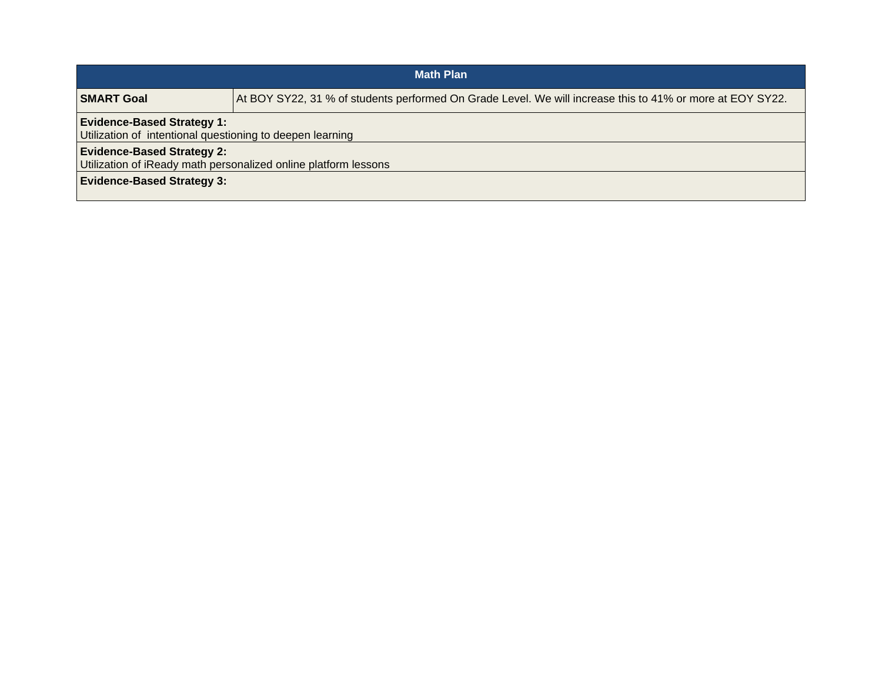| <b>Math Plan</b>                                                                                     |                                                                                                           |  |
|------------------------------------------------------------------------------------------------------|-----------------------------------------------------------------------------------------------------------|--|
| SMART Goal                                                                                           | At BOY SY22, 31 % of students performed On Grade Level. We will increase this to 41% or more at EOY SY22. |  |
| <b>Evidence-Based Strategy 1:</b><br>Utilization of intentional questioning to deepen learning       |                                                                                                           |  |
| <b>Evidence-Based Strategy 2:</b><br>Utilization of iReady math personalized online platform lessons |                                                                                                           |  |
| <b>Evidence-Based Strategy 3:</b>                                                                    |                                                                                                           |  |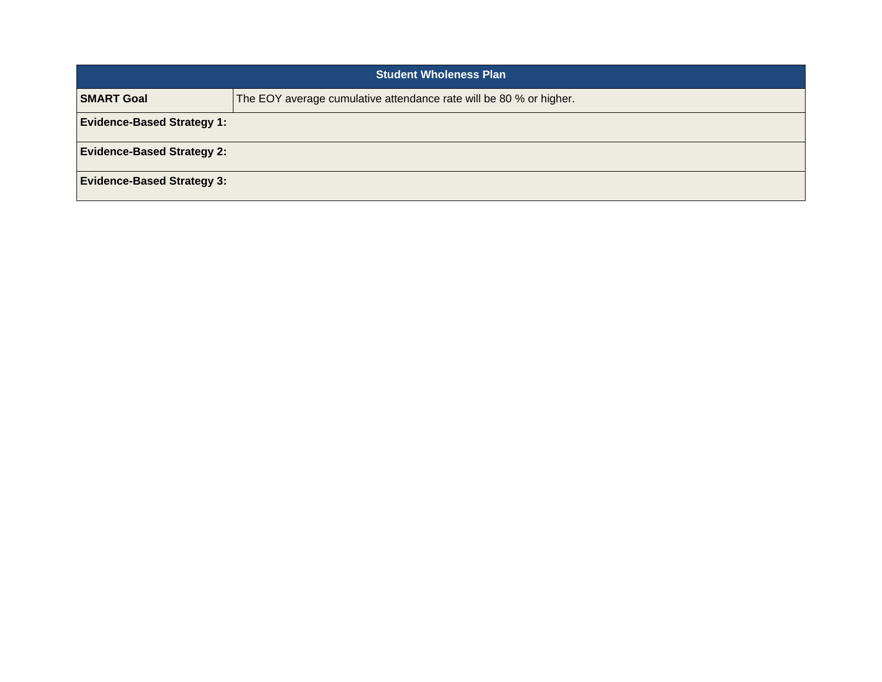| <b>Student Wholeness Plan</b>     |                                                                    |
|-----------------------------------|--------------------------------------------------------------------|
| <b>SMART Goal</b>                 | The EOY average cumulative attendance rate will be 80 % or higher. |
| <b>Evidence-Based Strategy 1:</b> |                                                                    |
| <b>Evidence-Based Strategy 2:</b> |                                                                    |
| <b>Evidence-Based Strategy 3:</b> |                                                                    |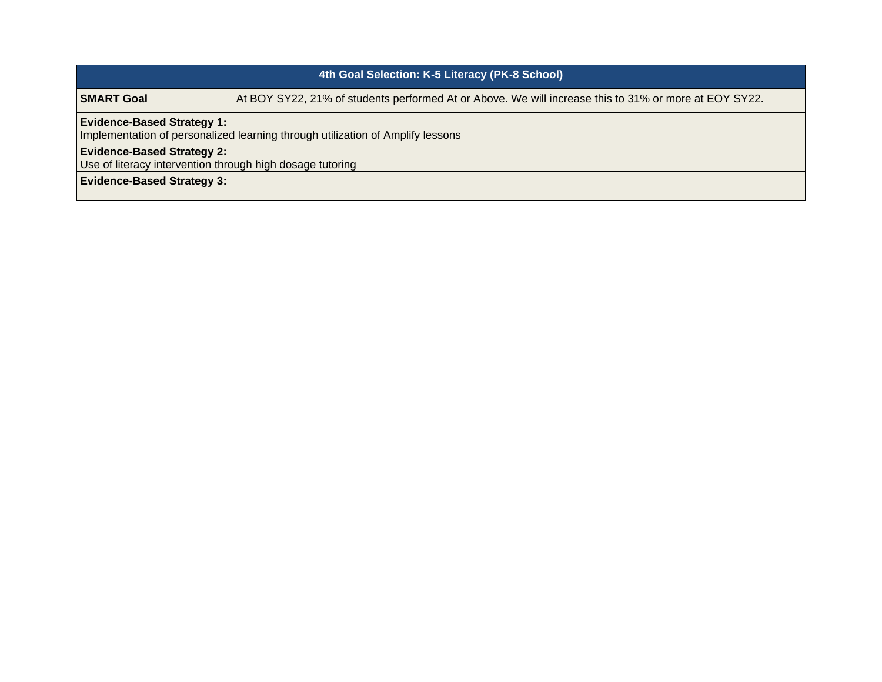| 4th Goal Selection: K-5 Literacy (PK-8 School)                                                                      |                                                                                                       |  |
|---------------------------------------------------------------------------------------------------------------------|-------------------------------------------------------------------------------------------------------|--|
| <b>SMART Goal</b>                                                                                                   | At BOY SY22, 21% of students performed At or Above. We will increase this to 31% or more at EOY SY22. |  |
| <b>Evidence-Based Strategy 1:</b><br>Implementation of personalized learning through utilization of Amplify lessons |                                                                                                       |  |
| <b>Evidence-Based Strategy 2:</b><br>Use of literacy intervention through high dosage tutoring                      |                                                                                                       |  |
| <b>Evidence-Based Strategy 3:</b>                                                                                   |                                                                                                       |  |